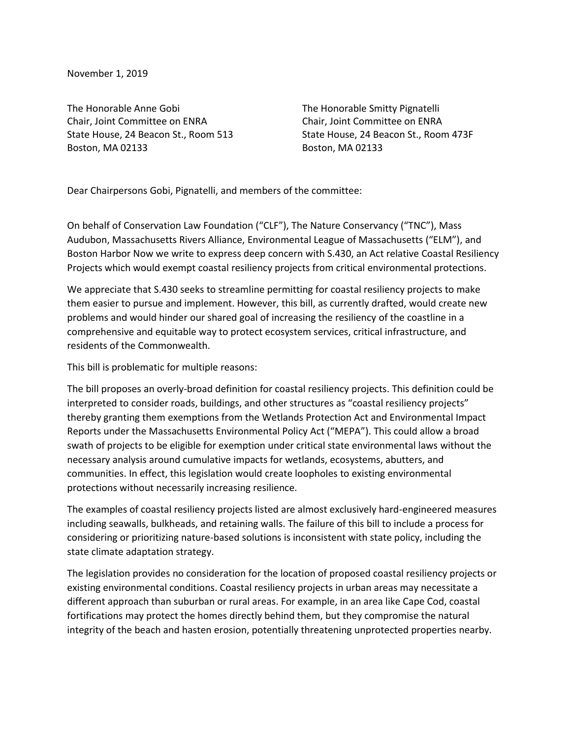November 1, 2019

The Honorable Anne Gobi The Honorable Smitty Pignatelli Chair, Joint Committee on ENRA Chair, Joint Committee on ENRA Boston, MA 02133 Boston, MA 02133

State House, 24 Beacon St., Room 513 State House, 24 Beacon St., Room 473F

Dear Chairpersons Gobi, Pignatelli, and members of the committee:

On behalf of Conservation Law Foundation ("CLF"), The Nature Conservancy ("TNC"), Mass Audubon, Massachusetts Rivers Alliance, Environmental League of Massachusetts ("ELM"), and Boston Harbor Now we write to express deep concern with S.430, an Act relative Coastal Resiliency Projects which would exempt coastal resiliency projects from critical environmental protections.

We appreciate that S.430 seeks to streamline permitting for coastal resiliency projects to make them easier to pursue and implement. However, this bill, as currently drafted, would create new problems and would hinder our shared goal of increasing the resiliency of the coastline in a comprehensive and equitable way to protect ecosystem services, critical infrastructure, and residents of the Commonwealth.

This bill is problematic for multiple reasons:

The bill proposes an overly-broad definition for coastal resiliency projects. This definition could be interpreted to consider roads, buildings, and other structures as "coastal resiliency projects" thereby granting them exemptions from the Wetlands Protection Act and Environmental Impact Reports under the Massachusetts Environmental Policy Act ("MEPA"). This could allow a broad swath of projects to be eligible for exemption under critical state environmental laws without the necessary analysis around cumulative impacts for wetlands, ecosystems, abutters, and communities. In effect, this legislation would create loopholes to existing environmental protections without necessarily increasing resilience.

The examples of coastal resiliency projects listed are almost exclusively hard-engineered measures including seawalls, bulkheads, and retaining walls. The failure of this bill to include a process for considering or prioritizing nature-based solutions is inconsistent with state policy, including the state climate adaptation strategy.

The legislation provides no consideration for the location of proposed coastal resiliency projects or existing environmental conditions. Coastal resiliency projects in urban areas may necessitate a different approach than suburban or rural areas. For example, in an area like Cape Cod, coastal fortifications may protect the homes directly behind them, but they compromise the natural integrity of the beach and hasten erosion, potentially threatening unprotected properties nearby.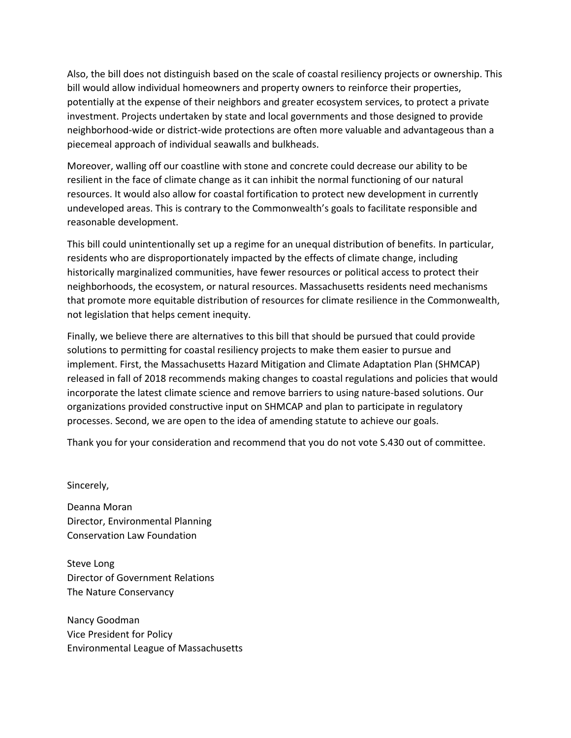Also, the bill does not distinguish based on the scale of coastal resiliency projects or ownership. This bill would allow individual homeowners and property owners to reinforce their properties, potentially at the expense of their neighbors and greater ecosystem services, to protect a private investment. Projects undertaken by state and local governments and those designed to provide neighborhood-wide or district-wide protections are often more valuable and advantageous than a piecemeal approach of individual seawalls and bulkheads.

Moreover, walling off our coastline with stone and concrete could decrease our ability to be resilient in the face of climate change as it can inhibit the normal functioning of our natural resources. It would also allow for coastal fortification to protect new development in currently undeveloped areas. This is contrary to the Commonwealth's goals to facilitate responsible and reasonable development.

This bill could unintentionally set up a regime for an unequal distribution of benefits. In particular, residents who are disproportionately impacted by the effects of climate change, including historically marginalized communities, have fewer resources or political access to protect their neighborhoods, the ecosystem, or natural resources. Massachusetts residents need mechanisms that promote more equitable distribution of resources for climate resilience in the Commonwealth, not legislation that helps cement inequity.

Finally, we believe there are alternatives to this bill that should be pursued that could provide solutions to permitting for coastal resiliency projects to make them easier to pursue and implement. First, the Massachusetts Hazard Mitigation and Climate Adaptation Plan (SHMCAP) released in fall of 2018 recommends making changes to coastal regulations and policies that would incorporate the latest climate science and remove barriers to using nature-based solutions. Our organizations provided constructive input on SHMCAP and plan to participate in regulatory processes. Second, we are open to the idea of amending statute to achieve our goals.

Thank you for your consideration and recommend that you do not vote S.430 out of committee.

Sincerely,

Deanna Moran Director, Environmental Planning Conservation Law Foundation

Steve Long Director of Government Relations The Nature Conservancy

Nancy Goodman Vice President for Policy Environmental League of Massachusetts